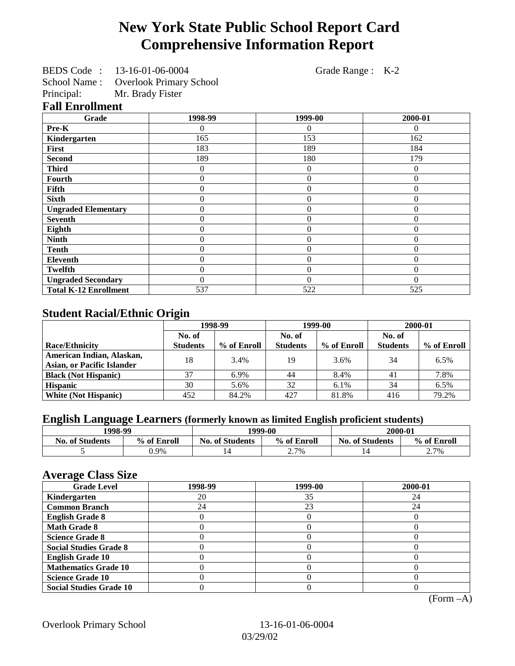# **New York State Public School Report Card Comprehensive Information Report**

BEDS Code : 13-16-01-06-0004 Grade Range : K-2

School Name : Overlook Primary School

Principal: Mr. Brady Fister

#### **Fall Enrollment**

| Grade                        | 1998-99  | 1999-00        | 2000-01  |
|------------------------------|----------|----------------|----------|
| Pre-K                        | 0        | $\theta$       | $\Omega$ |
| Kindergarten                 | 165      | 153            | 162      |
| First                        | 183      | 189            | 184      |
| <b>Second</b>                | 189      | 180            | 179      |
| <b>Third</b>                 | 0        | $\overline{0}$ | $\Omega$ |
| <b>Fourth</b>                | 0        | $\theta$       | $\theta$ |
| Fifth                        | 0        | $\theta$       | $\theta$ |
| <b>Sixth</b>                 | 0        | $\overline{0}$ | $\theta$ |
| <b>Ungraded Elementary</b>   | 0        | $\theta$       | $\theta$ |
| <b>Seventh</b>               | 0        | $\theta$       | $\Omega$ |
| Eighth                       | 0        | $\theta$       | 0        |
| <b>Ninth</b>                 | 0        | $\overline{0}$ | 0        |
| <b>Tenth</b>                 | 0        | $\theta$       | $\Omega$ |
| <b>Eleventh</b>              | 0        | $\theta$       | $\Omega$ |
| <b>Twelfth</b>               | 0        | $\overline{0}$ | $\Omega$ |
| <b>Ungraded Secondary</b>    | $\theta$ | $\theta$       | $\Omega$ |
| <b>Total K-12 Enrollment</b> | 537      | 522            | 525      |

# **Student Racial/Ethnic Origin**

|                                   | 1998-99         |             | 1999-00         |             | 2000-01         |             |
|-----------------------------------|-----------------|-------------|-----------------|-------------|-----------------|-------------|
|                                   | No. of          |             | No. of          |             | No. of          |             |
| <b>Race/Ethnicity</b>             | <b>Students</b> | % of Enroll | <b>Students</b> | % of Enroll | <b>Students</b> | % of Enroll |
| American Indian, Alaskan,         | 18              | 3.4%        | 19              | 3.6%        | 34              | 6.5%        |
| <b>Asian, or Pacific Islander</b> |                 |             |                 |             |                 |             |
| <b>Black (Not Hispanic)</b>       | 37              | 6.9%        | 44              | 8.4%        | 41              | 7.8%        |
| <b>Hispanic</b>                   | 30              | 5.6%        | 32              | $6.1\%$     | 34              | 6.5%        |
| <b>White (Not Hispanic)</b>       | 452             | 84.2%       | 427             | 81.8%       | 416             | 79.2%       |

# **English Language Learners (formerly known as limited English proficient students)**

| 1998-99                |             | 1999-00                |             | 2000-01                |             |
|------------------------|-------------|------------------------|-------------|------------------------|-------------|
| <b>No. of Students</b> | % of Enroll | <b>No. of Students</b> | % of Enroll | <b>No. of Students</b> | % of Enroll |
|                        | 0.9%        |                        | 2.7%        |                        | 2.7%        |

#### **Average Class Size**

| $\overline{\phantom{a}}$<br><b>Grade Level</b> | 1998-99 | 1999-00 | 2000-01 |
|------------------------------------------------|---------|---------|---------|
| Kindergarten                                   | 20      | 35      | 24      |
| <b>Common Branch</b>                           | 24      | 23      | 24      |
| <b>English Grade 8</b>                         |         |         |         |
| <b>Math Grade 8</b>                            |         |         |         |
| <b>Science Grade 8</b>                         |         |         |         |
| <b>Social Studies Grade 8</b>                  |         |         |         |
| <b>English Grade 10</b>                        |         |         |         |
| <b>Mathematics Grade 10</b>                    |         |         |         |
| <b>Science Grade 10</b>                        |         |         |         |
| <b>Social Studies Grade 10</b>                 |         |         |         |

(Form –A)